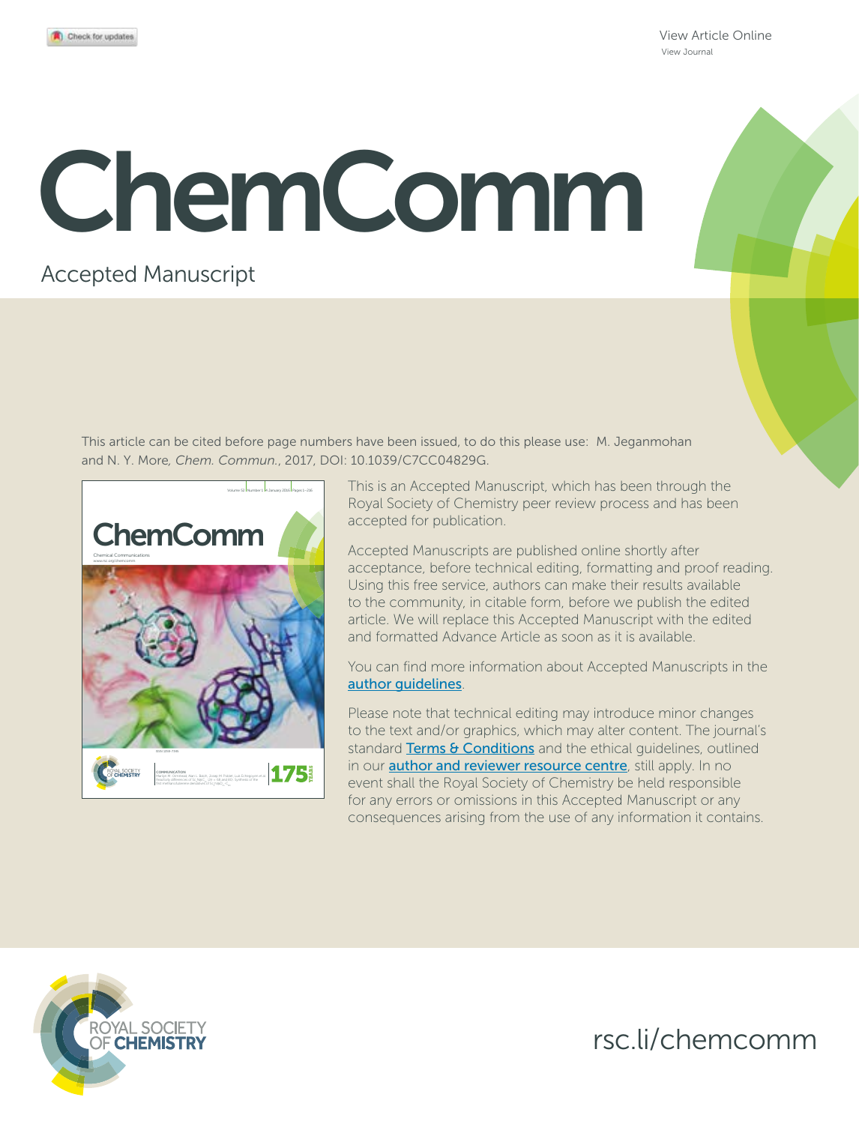View Article Online View Journal

# ChemComm

### Accepted Manuscript

This article can be cited before page numbers have been issued, to do this please use: M. Jeganmohan and N. Y. More*, Chem. Commun.*, 2017, DOI: 10.1039/C7CC04829G.



This is an Accepted Manuscript, which has been through the Royal Society of Chemistry peer review process and has been accepted for publication.

Accepted Manuscripts are published online shortly after acceptance, before technical editing, formatting and proof reading. Using this free service, authors can make their results available to the community, in citable form, before we publish the edited article. We will replace this Accepted Manuscript with the edited and formatted Advance Article as soon as it is available.

You can find more information about Accepted Manuscripts in the author guidelines.

Please note that technical editing may introduce minor changes to the text and/or graphics, which may alter content. The journal's standard Terms & Conditions and the ethical quidelines, outlined in our **author and reviewer resource centre**, still apply. In no event shall the Royal Society of Chemistry be held responsible for any errors or omissions in this Accepted Manuscript or any consequences arising from the use of any information it contains.



rsc.li/chemcomm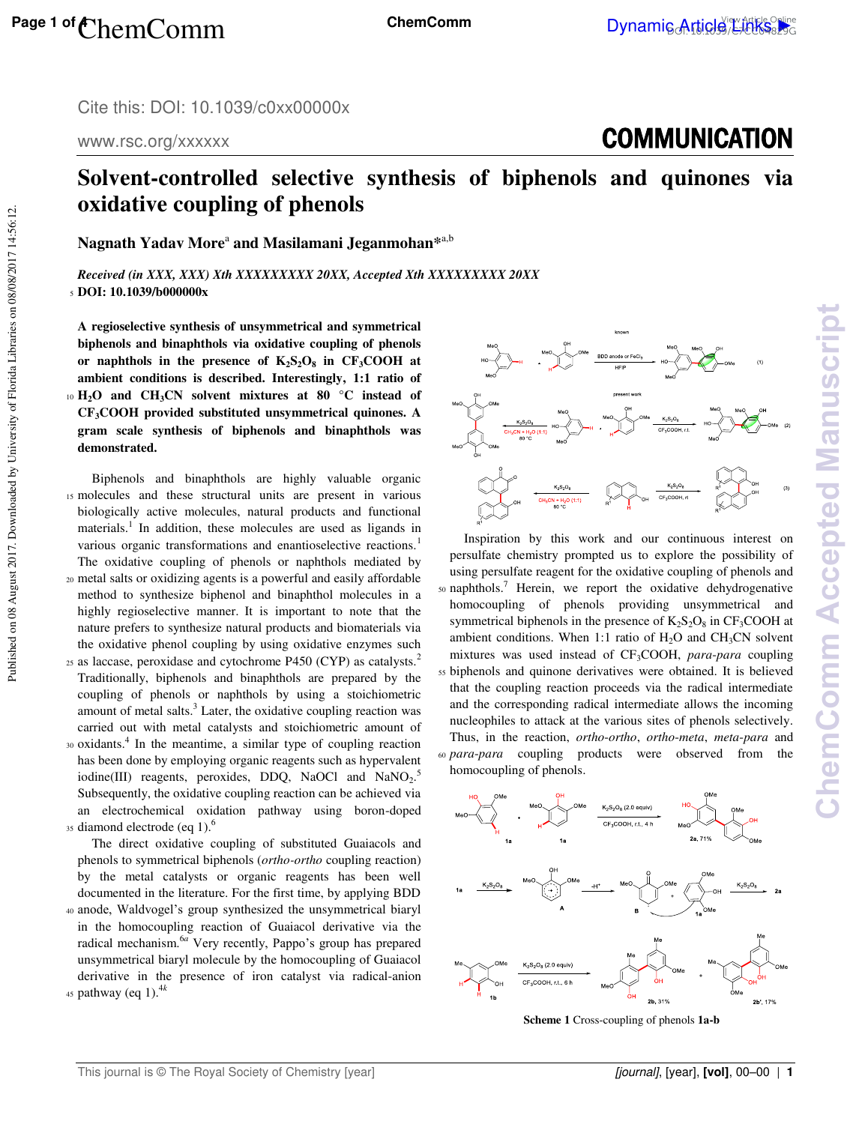www.rsc.org/xxxxxx

## **COMMUNICATION**

## **Solvent-controlled selective synthesis of biphenols and quinones via oxidative coupling of phenols**

 $\boldsymbol{\mathrm{N}}$ agnath  $\boldsymbol{\mathrm{Y}}$ adav More<sup>a</sup> and Masilamani Jeganmohan $^{*^{a,b}}$ 

*Received (in XXX, XXX) Xth XXXXXXXXX 20XX, Accepted Xth XXXXXXXXX 20XX*  <sup>5</sup>**DOI: 10.1039/b000000x** 

**A regioselective synthesis of unsymmetrical and symmetrical biphenols and binaphthols via oxidative coupling of phenols or naphthols in the presence of K2S2O<sup>8</sup> in CF3COOH at ambient conditions is described. Interestingly, 1:1 ratio of**  <sup>10</sup>**H2O and CH3CN solvent mixtures at 80 °C instead of CF3COOH provided substituted unsymmetrical quinones. A gram scale synthesis of biphenols and binaphthols was demonstrated.** 

 Biphenols and binaphthols are highly valuable organic 15 molecules and these structural units are present in various biologically active molecules, natural products and functional materials.<sup>1</sup> In addition, these molecules are used as ligands in various organic transformations and enantioselective reactions.<sup>1</sup> The oxidative coupling of phenols or naphthols mediated by <sup>20</sup>metal salts or oxidizing agents is a powerful and easily affordable

- method to synthesize biphenol and binaphthol molecules in a highly regioselective manner. It is important to note that the nature prefers to synthesize natural products and biomaterials via the oxidative phenol coupling by using oxidative enzymes such 25 as laccase, peroxidase and cytochrome P450 (CYP) as catalysts.<sup>2</sup>
- Traditionally, biphenols and binaphthols are prepared by the coupling of phenols or naphthols by using a stoichiometric amount of metal salts.<sup>3</sup> Later, the oxidative coupling reaction was carried out with metal catalysts and stoichiometric amount of
- 30 oxidants.<sup>4</sup> In the meantime, a similar type of coupling reaction has been done by employing organic reagents such as hypervalent iodine(III) reagents, peroxides, DDQ, NaOCl and NaNO<sub>2</sub>.<sup>5</sup> Subsequently, the oxidative coupling reaction can be achieved via an electrochemical oxidation pathway using boron-doped 35 diamond electrode (eq 1).<sup>6</sup>

 The direct oxidative coupling of substituted Guaiacols and phenols to symmetrical biphenols (*ortho-ortho* coupling reaction) by the metal catalysts or organic reagents has been well documented in the literature. For the first time, by applying BDD <sup>40</sup>anode, Waldvogel's group synthesized the unsymmetrical biaryl in the homocoupling reaction of Guaiacol derivative via the radical mechanism.<sup>6*a*</sup> Very recently, Pappo's group has prepared unsymmetrical biaryl molecule by the homocoupling of Guaiacol derivative in the presence of iron catalyst via radical-anion <sup>45</sup> pathway (eq 1).<sup>4k</sup>



 Inspiration by this work and our continuous interest on persulfate chemistry prompted us to explore the possibility of using persulfate reagent for the oxidative coupling of phenols and  $50$  naphthols.<sup>7</sup> Herein, we report the oxidative dehydrogenative homocoupling of phenols providing unsymmetrical and symmetrical biphenols in the presence of  $K_2S_2O_8$  in  $CF_3COOH$  at ambient conditions. When 1:1 ratio of  $H_2O$  and  $CH_3CN$  solvent mixtures was used instead of CF3COOH, *para*-*para* coupling <sup>55</sup>biphenols and quinone derivatives were obtained. It is believed that the coupling reaction proceeds via the radical intermediate and the corresponding radical intermediate allows the incoming nucleophiles to attack at the various sites of phenols selectively. Thus, in the reaction, *ortho*-*ortho*, *ortho*-*meta*, *meta*-*para* and <sup>60</sup>*para*-*para* coupling products were observed from the homocoupling of phenols.



**Scheme 1** Cross-coupling of phenols **1a-b**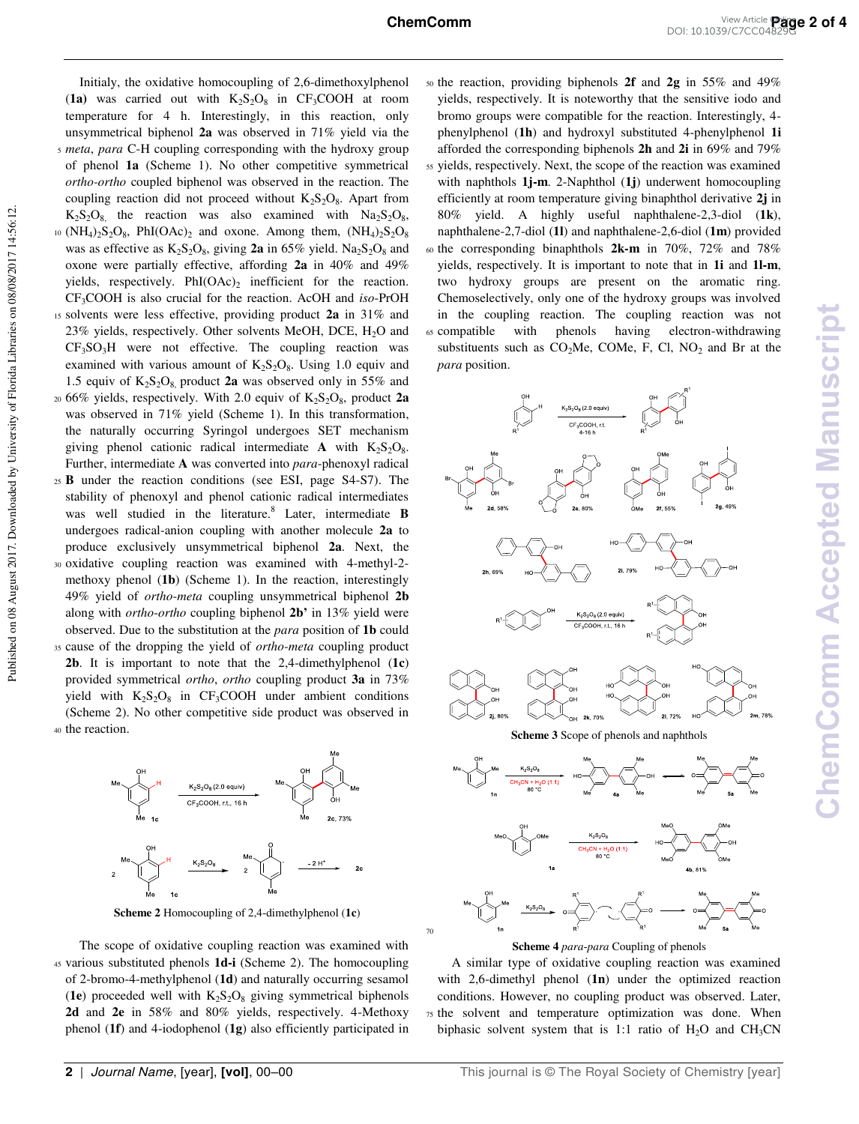70

 Initialy, the oxidative homocoupling of 2,6-dimethoxylphenol  $(1a)$  was carried out with  $K_2S_2O_8$  in CF<sub>3</sub>COOH at room temperature for 4 h. Interestingly, in this reaction, only unsymmetrical biphenol **2a** was observed in 71% yield via the <sup>5</sup>*meta*, *para* C-H coupling corresponding with the hydroxy group of phenol **1a** (Scheme 1). No other competitive symmetrical *ortho-ortho* coupled biphenol was observed in the reaction. The coupling reaction did not proceed without  $K_2S_2O_8$ . Apart from  $K_2S_2O_8$ , the reaction was also examined with  $Na_2S_2O_8$ , <sup>10</sup> (NH<sub>4</sub>)<sub>2</sub>S<sub>2</sub>O<sub>8</sub>, PhI(OAc)<sub>2</sub> and oxone. Among them,  $(NH<sub>4</sub>)<sub>2</sub>S<sub>2</sub>O<sub>8</sub>$ was as effective as  $K_2S_2O_8$ , giving **2a** in 65% yield.  $Na_2S_2O_8$  and oxone were partially effective, affording **2a** in 40% and 49% yields, respectively.  $PhI(OAc)_2$  inefficient for the reaction. CF3COOH is also crucial for the reaction. AcOH and *iso*-PrOH <sup>15</sup>solvents were less effective, providing product **2a** in 31% and 23% yields, respectively. Other solvents MeOH, DCE,  $H_2O$  and  $CF<sub>3</sub>SO<sub>3</sub>H$  were not effective. The coupling reaction was examined with various amount of  $K_2S_2O_8$ . Using 1.0 equiv and 1.5 equiv of  $K_2S_2O_8$  product **2a** was observed only in 55% and  $_{20}$  66% yields, respectively. With 2.0 equiv of  $K_2S_2O_8$ , product 2a was observed in 71% yield (Scheme 1). In this transformation, the naturally occurring Syringol undergoes SET mechanism giving phenol cationic radical intermediate **A** with  $K_2S_2O_8$ . Further, intermediate **A** was converted into *para*-phenoxyl radical <sup>25</sup>**B** under the reaction conditions (see ESI, page S4-S7). The stability of phenoxyl and phenol cationic radical intermediates was well studied in the literature.<sup>8</sup> Later, intermediate **B** undergoes radical-anion coupling with another molecule **2a** to produce exclusively unsymmetrical biphenol **2a**. Next, the <sup>30</sup>oxidative coupling reaction was examined with 4-methyl-2 methoxy phenol (**1b**) (Scheme 1). In the reaction, interestingly 49% yield of *ortho*-*meta* coupling unsymmetrical biphenol **2b** along with *ortho*-*ortho* coupling biphenol **2b'** in 13% yield were observed. Due to the substitution at the *para* position of **1b** could <sup>35</sup>cause of the dropping the yield of *ortho-meta* coupling product **2b**. It is important to note that the 2,4-dimethylphenol (**1c**) provided symmetrical *ortho*, *ortho* coupling product **3a** in 73% yield with  $K_2S_2O_8$  in CF<sub>3</sub>COOH under ambient conditions (Scheme 2). No other competitive side product was observed in 40 the reaction.

Published on 08 August 2017. Downloaded by University of Florida Libraries on 08/08/2017 14:56:12. Published on 08 August 2017. Downloaded by University of Florida Libraries on 08/08/2017 14:56:12.



**Scheme 2** Homocoupling of 2,4-dimethylphenol (**1c**)

 The scope of oxidative coupling reaction was examined with <sup>45</sup>various substituted phenols **1d-i** (Scheme 2). The homocoupling of 2-bromo-4-methylphenol (**1d**) and naturally occurring sesamol  $(1e)$  proceeded well with  $K_2S_2O_8$  giving symmetrical biphenols **2d** and **2e** in 58% and 80% yields, respectively. 4-Methoxy phenol (**1f**) and 4-iodophenol (**1g**) also efficiently participated in

<sup>50</sup>the reaction, providing biphenols **2f** and **2g** in 55% and 49% yields, respectively. It is noteworthy that the sensitive iodo and bromo groups were compatible for the reaction. Interestingly, 4 phenylphenol (**1h**) and hydroxyl substituted 4-phenylphenol **1i** afforded the corresponding biphenols **2h** and **2i** in 69% and 79% <sup>55</sup>yields, respectively. Next, the scope of the reaction was examined with naphthols **1j-m**. 2-Naphthol (**1j**) underwent homocoupling efficiently at room temperature giving binaphthol derivative **2j** in 80% yield. A highly useful naphthalene-2,3-diol (**1k**), naphthalene-2,7-diol (**1l**) and naphthalene-2,6-diol (**1m**) provided <sup>60</sup>the corresponding binaphthols **2k-m** in 70%, 72% and 78% yields, respectively. It is important to note that in **1i** and **1l-m**, two hydroxy groups are present on the aromatic ring. Chemoselectively, only one of the hydroxy groups was involved in the coupling reaction. The coupling reaction was not 65 compatible with phenols having electron-withdrawing substituents such as  $CO<sub>2</sub>Me$ , COMe, F, Cl, NO<sub>2</sub> and Br at the *para* position.



**Scheme 3** Scope of phenols and naphthols



#### **Scheme 4** *para*-*para* Coupling of phenols

 A similar type of oxidative coupling reaction was examined with 2,6-dimethyl phenol (**1n**) under the optimized reaction conditions. However, no coupling product was observed. Later, <sup>75</sup>the solvent and temperature optimization was done. When biphasic solvent system that is 1:1 ratio of  $H_2O$  and  $CH_3CN$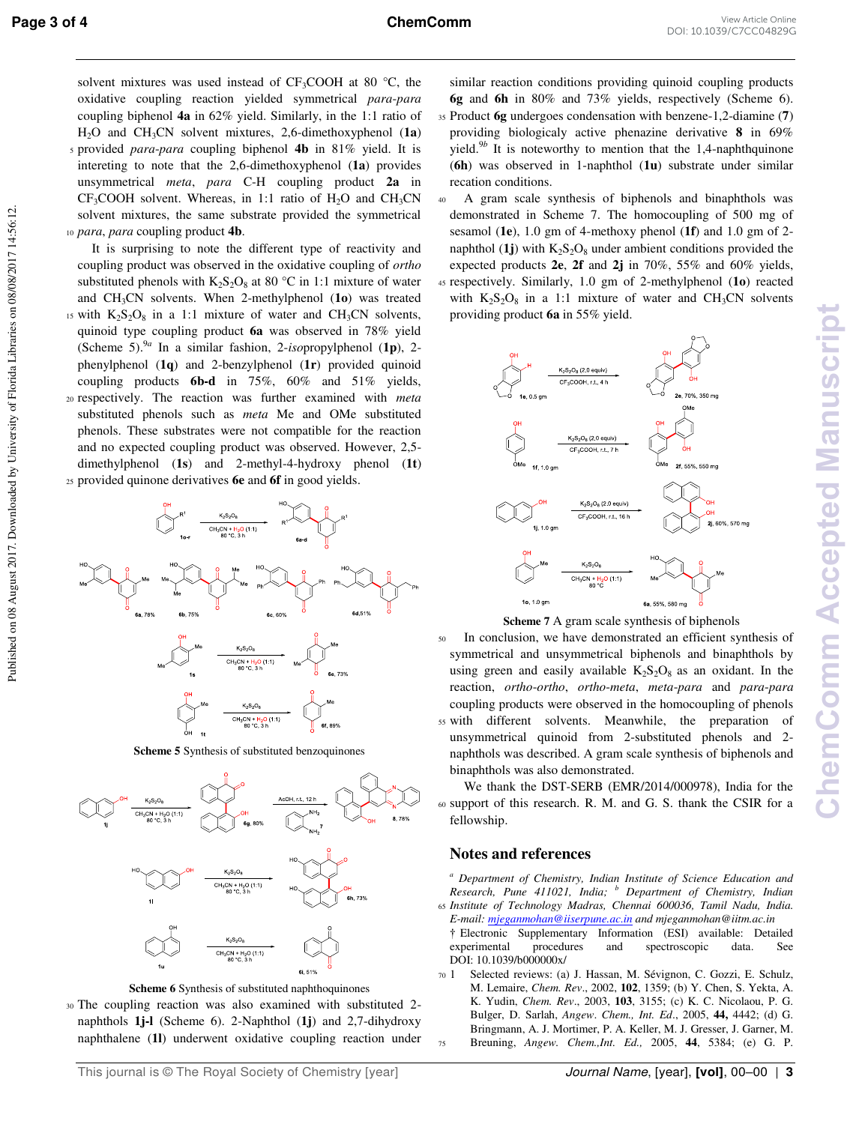solvent mixtures was used instead of  $CF_3COOH$  at 80 °C, the oxidative coupling reaction yielded symmetrical *para*-*para* coupling biphenol **4a** in 62% yield. Similarly, in the 1:1 ratio of H2O and CH3CN solvent mixtures, 2,6-dimethoxyphenol (**1a**) <sup>5</sup>provided *para*-*para* coupling biphenol **4b** in 81% yield. It is intereting to note that the 2,6-dimethoxyphenol (**1a**) provides unsymmetrical *meta*, *para* C-H coupling product **2a** in  $CF<sub>3</sub>COOH$  solvent. Whereas, in 1:1 ratio of H<sub>2</sub>O and CH<sub>3</sub>CN solvent mixtures, the same substrate provided the symmetrical <sup>10</sup>*para*, *para* coupling product **4b**.

 It is surprising to note the different type of reactivity and coupling product was observed in the oxidative coupling of *ortho* substituted phenols with  $K_2S_2O_8$  at 80 °C in 1:1 mixture of water and CH3CN solvents. When 2-methylphenol (**1o**) was treated <sup>15</sup> with  $K_2S_2O_8$  in a 1:1 mixture of water and CH<sub>3</sub>CN solvents, quinoid type coupling product **6a** was observed in 78% yield (Scheme 5).<sup>9</sup>*<sup>a</sup>* In a similar fashion, 2-*iso*propylphenol (**1p**), 2 phenylphenol (**1q**) and 2-benzylphenol (**1r**) provided quinoid coupling products **6b-d** in 75%, 60% and 51% yields, <sup>20</sup>respectively. The reaction was further examined with *meta* substituted phenols such as *meta* Me and OMe substituted phenols. These substrates were not compatible for the reaction and no expected coupling product was observed. However, 2,5 dimethylphenol (**1s**) and 2-methyl-4-hydroxy phenol (**1t**) <sup>25</sup>provided quinone derivatives **6e** and **6f** in good yields.



**Scheme 5** Synthesis of substituted benzoquinones



**Scheme 6** Synthesis of substituted naphthoquinones

<sup>30</sup>The coupling reaction was also examined with substituted 2 naphthols **1j-l** (Scheme 6). 2-Naphthol (**1j**) and 2,7-dihydroxy naphthalene (**1l**) underwent oxidative coupling reaction under

similar reaction conditions providing quinoid coupling products **6g** and **6h** in 80% and 73% yields, respectively (Scheme 6). <sup>35</sup>Product **6g** undergoes condensation with benzene-1,2-diamine (**7**) providing biologicaly active phenazine derivative **8** in 69% yield.<sup>9</sup>*<sup>b</sup>* It is noteworthy to mention that the 1,4-naphthquinone (**6h**) was observed in 1-naphthol (**1u**) substrate under similar recation conditions.

<sup>40</sup>A gram scale synthesis of biphenols and binaphthols was demonstrated in Scheme 7. The homocoupling of 500 mg of sesamol (**1e**), 1.0 gm of 4-methoxy phenol (**1f**) and 1.0 gm of 2 naphthol (1j) with  $K_2S_2O_8$  under ambient conditions provided the expected products **2e**, **2f** and **2j** in 70%, 55% and 60% yields, <sup>45</sup>respectively. Similarly, 1.0 gm of 2-methylphenol (**1o**) reacted with  $K_2S_2O_8$  in a 1:1 mixture of water and CH<sub>3</sub>CN solvents providing product **6a** in 55% yield.



**Scheme 7** A gram scale synthesis of biphenols

50 In conclusion, we have demonstrated an efficient synthesis of symmetrical and unsymmetrical biphenols and binaphthols by using green and easily available  $K_2S_2O_8$  as an oxidant. In the reaction, *ortho*-*ortho*, *ortho*-*meta*, *meta*-*para* and *para*-*para* coupling products were observed in the homocoupling of phenols <sup>55</sup>with different solvents. Meanwhile, the preparation of unsymmetrical quinoid from 2-substituted phenols and 2 naphthols was described. A gram scale synthesis of biphenols and binaphthols was also demonstrated.

 We thank the DST-SERB (EMR/2014/000978), India for the <sup>60</sup>support of this research. R. M. and G. S. thank the CSIR for a fellowship.

#### **Notes and references**

*a Department of Chemistry, Indian Institute of Science Education and Research, Pune 411021, India; <sup>b</sup> Department of Chemistry, Indian*  <sup>65</sup>*Institute of Technology Madras, Chennai 600036, Tamil Nadu, India.* 

- *E-mail[: mjeganmohan@iiserpune.ac.in a](mailto:mjeganmohan@iiserpune.ac.in)nd mjeganmohan@iitm.ac.in*
- † Electronic Supplementary Information (ESI) available: Detailed experimental procedures and spectroscopic data. See DOI: 10.1039/b0000000x/
- <sup>70</sup>1 Selected reviews: (a) J. Hassan, M. Sévignon, C. Gozzi, E. Schulz, M. Lemaire, *Chem. Rev*., 2002, **102**, 1359; (b) Y. Chen, S. Yekta, A. K. Yudin, *Chem. Rev*., 2003, **103**, 3155; (c) K. C. Nicolaou, P. G. Bulger, D. Sarlah, *Angew*. *Chem., Int. Ed*., 2005, **44,** 4442; (d) G. Bringmann, A. J. Mortimer, P. A. Keller, M. J. Gresser, J. Garner, M. <sup>75</sup>Breuning, *Angew. Chem.,Int. Ed.,* 2005, **44**, 5384; (e) G. P.